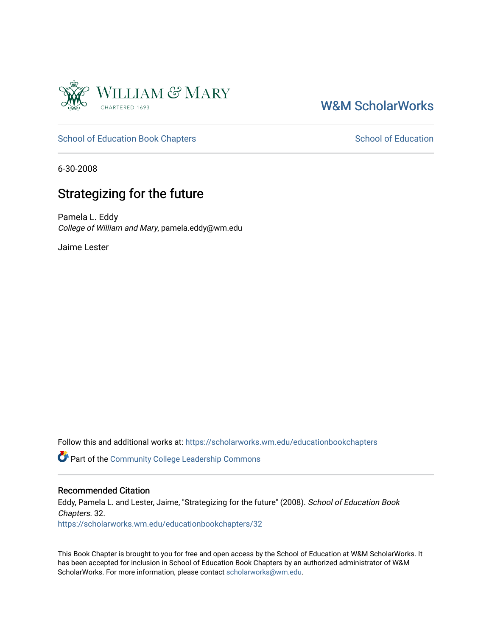

## [W&M ScholarWorks](https://scholarworks.wm.edu/)

## [School of Education Book Chapters](https://scholarworks.wm.edu/educationbookchapters) [School of Education](https://scholarworks.wm.edu/education) School of Education

6-30-2008

## Strategizing for the future

Pamela L. Eddy College of William and Mary, pamela.eddy@wm.edu

Jaime Lester

Follow this and additional works at: [https://scholarworks.wm.edu/educationbookchapters](https://scholarworks.wm.edu/educationbookchapters?utm_source=scholarworks.wm.edu%2Feducationbookchapters%2F32&utm_medium=PDF&utm_campaign=PDFCoverPages)

Part of the [Community College Leadership Commons](http://network.bepress.com/hgg/discipline/1039?utm_source=scholarworks.wm.edu%2Feducationbookchapters%2F32&utm_medium=PDF&utm_campaign=PDFCoverPages)

### Recommended Citation

Eddy, Pamela L. and Lester, Jaime, "Strategizing for the future" (2008). School of Education Book Chapters. 32.

[https://scholarworks.wm.edu/educationbookchapters/32](https://scholarworks.wm.edu/educationbookchapters/32?utm_source=scholarworks.wm.edu%2Feducationbookchapters%2F32&utm_medium=PDF&utm_campaign=PDFCoverPages) 

This Book Chapter is brought to you for free and open access by the School of Education at W&M ScholarWorks. It has been accepted for inclusion in School of Education Book Chapters by an authorized administrator of W&M ScholarWorks. For more information, please contact [scholarworks@wm.edu.](mailto:scholarworks@wm.edu)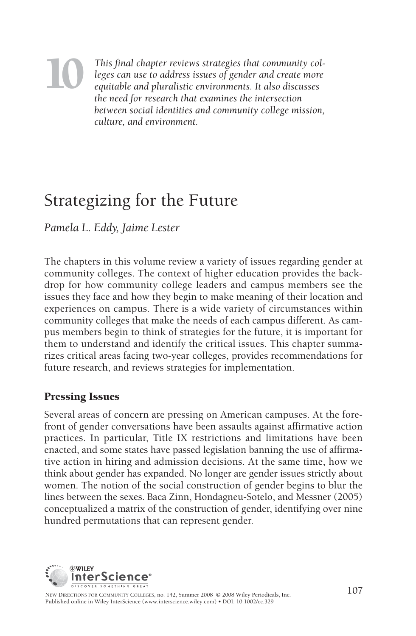*This final chapter reviews strategies that community colleges can use to address issues of gender and create more equitable and pluralistic environments. It also discusses the need for research that examines the intersection between social identities and community college mission, culture, and environment.* 10

# Strategizing for the Future

*Pamela L. Eddy, Jaime Lester*

The chapters in this volume review a variety of issues regarding gender at community colleges. The context of higher education provides the backdrop for how community college leaders and campus members see the issues they face and how they begin to make meaning of their location and experiences on campus. There is a wide variety of circumstances within community colleges that make the needs of each campus different. As campus members begin to think of strategies for the future, it is important for them to understand and identify the critical issues. This chapter summarizes critical areas facing two-year colleges, provides recommendations for future research, and reviews strategies for implementation.

## Pressing Issues

Several areas of concern are pressing on American campuses. At the forefront of gender conversations have been assaults against affirmative action practices. In particular, Title IX restrictions and limitations have been enacted, and some states have passed legislation banning the use of affirmative action in hiring and admission decisions. At the same time, how we think about gender has expanded. No longer are gender issues strictly about women. The notion of the social construction of gender begins to blur the lines between the sexes. Baca Zinn, Hondagneu-Sotelo, and Messner (2005) conceptualized a matrix of the construction of gender, identifying over nine hundred permutations that can represent gender.

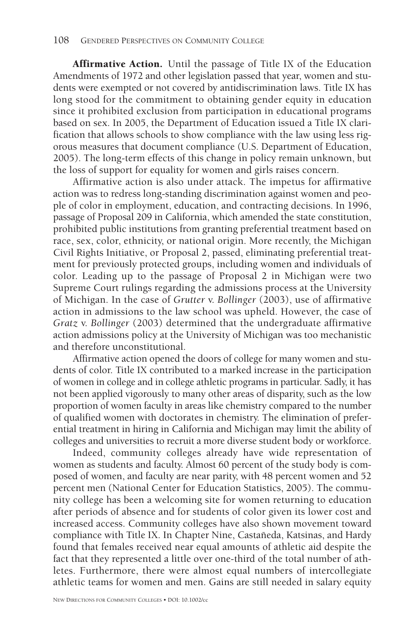Affirmative Action. Until the passage of Title IX of the Education Amendments of 1972 and other legislation passed that year, women and students were exempted or not covered by antidiscrimination laws. Title IX has long stood for the commitment to obtaining gender equity in education since it prohibited exclusion from participation in educational programs based on sex. In 2005, the Department of Education issued a Title IX clarification that allows schools to show compliance with the law using less rigorous measures that document compliance (U.S. Department of Education, 2005). The long-term effects of this change in policy remain unknown, but the loss of support for equality for women and girls raises concern.

Affirmative action is also under attack. The impetus for affirmative action was to redress long-standing discrimination against women and people of color in employment, education, and contracting decisions. In 1996, passage of Proposal 209 in California, which amended the state constitution, prohibited public institutions from granting preferential treatment based on race, sex, color, ethnicity, or national origin. More recently, the Michigan Civil Rights Initiative, or Proposal 2, passed, eliminating preferential treatment for previously protected groups, including women and individuals of color. Leading up to the passage of Proposal 2 in Michigan were two Supreme Court rulings regarding the admissions process at the University of Michigan. In the case of *Grutter* v. *Bollinger* (2003), use of affirmative action in admissions to the law school was upheld. However, the case of *Gratz* v. *Bollinger* (2003) determined that the undergraduate affirmative action admissions policy at the University of Michigan was too mechanistic and therefore unconstitutional.

Affirmative action opened the doors of college for many women and students of color. Title IX contributed to a marked increase in the participation of women in college and in college athletic programs in particular. Sadly, it has not been applied vigorously to many other areas of disparity, such as the low proportion of women faculty in areas like chemistry compared to the number of qualified women with doctorates in chemistry. The elimination of preferential treatment in hiring in California and Michigan may limit the ability of colleges and universities to recruit a more diverse student body or workforce.

Indeed, community colleges already have wide representation of women as students and faculty. Almost 60 percent of the study body is composed of women, and faculty are near parity, with 48 percent women and 52 percent men (National Center for Education Statistics, 2005). The community college has been a welcoming site for women returning to education after periods of absence and for students of color given its lower cost and increased access. Community colleges have also shown movement toward compliance with Title IX. In Chapter Nine, Castañeda, Katsinas, and Hardy found that females received near equal amounts of athletic aid despite the fact that they represented a little over one-third of the total number of athletes. Furthermore, there were almost equal numbers of intercollegiate athletic teams for women and men. Gains are still needed in salary equity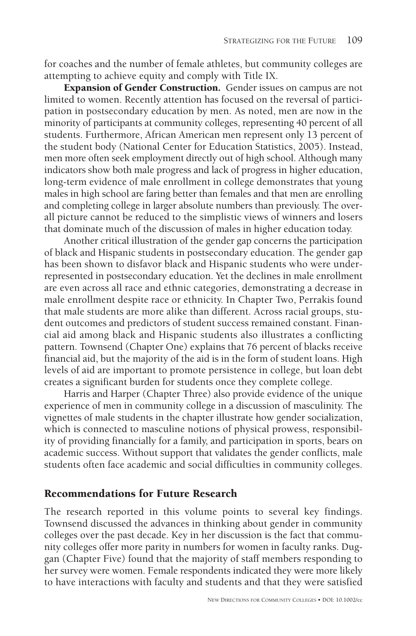for coaches and the number of female athletes, but community colleges are attempting to achieve equity and comply with Title IX.

Expansion of Gender Construction. Gender issues on campus are not limited to women. Recently attention has focused on the reversal of participation in postsecondary education by men. As noted, men are now in the minority of participants at community colleges, representing 40 percent of all students. Furthermore, African American men represent only 13 percent of the student body (National Center for Education Statistics, 2005). Instead, men more often seek employment directly out of high school. Although many indicators show both male progress and lack of progress in higher education, long-term evidence of male enrollment in college demonstrates that young males in high school are faring better than females and that men are enrolling and completing college in larger absolute numbers than previously. The overall picture cannot be reduced to the simplistic views of winners and losers that dominate much of the discussion of males in higher education today.

Another critical illustration of the gender gap concerns the participation of black and Hispanic students in postsecondary education. The gender gap has been shown to disfavor black and Hispanic students who were underrepresented in postsecondary education. Yet the declines in male enrollment are even across all race and ethnic categories, demonstrating a decrease in male enrollment despite race or ethnicity. In Chapter Two, Perrakis found that male students are more alike than different. Across racial groups, student outcomes and predictors of student success remained constant. Financial aid among black and Hispanic students also illustrates a conflicting pattern. Townsend (Chapter One) explains that 76 percent of blacks receive financial aid, but the majority of the aid is in the form of student loans. High levels of aid are important to promote persistence in college, but loan debt creates a significant burden for students once they complete college.

Harris and Harper (Chapter Three) also provide evidence of the unique experience of men in community college in a discussion of masculinity. The vignettes of male students in the chapter illustrate how gender socialization, which is connected to masculine notions of physical prowess, responsibility of providing financially for a family, and participation in sports, bears on academic success. Without support that validates the gender conflicts, male students often face academic and social difficulties in community colleges.

#### Recommendations for Future Research

The research reported in this volume points to several key findings. Townsend discussed the advances in thinking about gender in community colleges over the past decade. Key in her discussion is the fact that community colleges offer more parity in numbers for women in faculty ranks. Duggan (Chapter Five) found that the majority of staff members responding to her survey were women. Female respondents indicated they were more likely to have interactions with faculty and students and that they were satisfied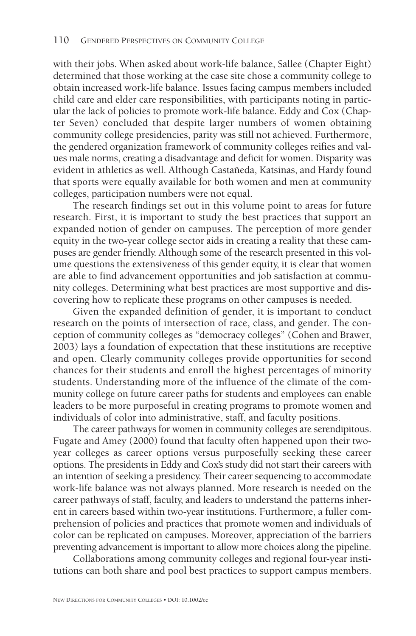with their jobs. When asked about work-life balance, Sallee (Chapter Eight) determined that those working at the case site chose a community college to obtain increased work-life balance. Issues facing campus members included child care and elder care responsibilities, with participants noting in particular the lack of policies to promote work-life balance. Eddy and Cox (Chapter Seven) concluded that despite larger numbers of women obtaining community college presidencies, parity was still not achieved. Furthermore, the gendered organization framework of community colleges reifies and values male norms, creating a disadvantage and deficit for women. Disparity was evident in athletics as well. Although Castañeda, Katsinas, and Hardy found that sports were equally available for both women and men at community colleges, participation numbers were not equal.

The research findings set out in this volume point to areas for future research. First, it is important to study the best practices that support an expanded notion of gender on campuses. The perception of more gender equity in the two-year college sector aids in creating a reality that these campuses are gender friendly. Although some of the research presented in this volume questions the extensiveness of this gender equity, it is clear that women are able to find advancement opportunities and job satisfaction at community colleges. Determining what best practices are most supportive and discovering how to replicate these programs on other campuses is needed.

Given the expanded definition of gender, it is important to conduct research on the points of intersection of race, class, and gender. The conception of community colleges as "democracy colleges" (Cohen and Brawer, 2003) lays a foundation of expectation that these institutions are receptive and open. Clearly community colleges provide opportunities for second chances for their students and enroll the highest percentages of minority students. Understanding more of the influence of the climate of the community college on future career paths for students and employees can enable leaders to be more purposeful in creating programs to promote women and individuals of color into administrative, staff, and faculty positions.

The career pathways for women in community colleges are serendipitous. Fugate and Amey (2000) found that faculty often happened upon their twoyear colleges as career options versus purposefully seeking these career options. The presidents in Eddy and Cox's study did not start their careers with an intention of seeking a presidency. Their career sequencing to accommodate work-life balance was not always planned. More research is needed on the career pathways of staff, faculty, and leaders to understand the patterns inherent in careers based within two-year institutions. Furthermore, a fuller comprehension of policies and practices that promote women and individuals of color can be replicated on campuses. Moreover, appreciation of the barriers preventing advancement is important to allow more choices along the pipeline.

Collaborations among community colleges and regional four-year institutions can both share and pool best practices to support campus members.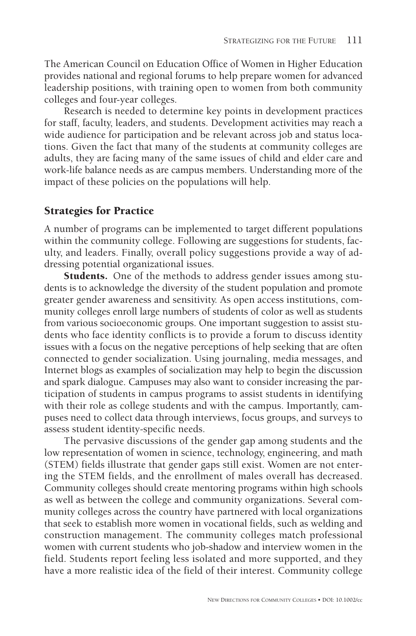The American Council on Education Office of Women in Higher Education provides national and regional forums to help prepare women for advanced leadership positions, with training open to women from both community colleges and four-year colleges.

Research is needed to determine key points in development practices for staff, faculty, leaders, and students. Development activities may reach a wide audience for participation and be relevant across job and status locations. Given the fact that many of the students at community colleges are adults, they are facing many of the same issues of child and elder care and work-life balance needs as are campus members. Understanding more of the impact of these policies on the populations will help.

### Strategies for Practice

A number of programs can be implemented to target different populations within the community college. Following are suggestions for students, faculty, and leaders. Finally, overall policy suggestions provide a way of addressing potential organizational issues.

**Students.** One of the methods to address gender issues among students is to acknowledge the diversity of the student population and promote greater gender awareness and sensitivity. As open access institutions, community colleges enroll large numbers of students of color as well as students from various socioeconomic groups. One important suggestion to assist students who face identity conflicts is to provide a forum to discuss identity issues with a focus on the negative perceptions of help seeking that are often connected to gender socialization. Using journaling, media messages, and Internet blogs as examples of socialization may help to begin the discussion and spark dialogue. Campuses may also want to consider increasing the participation of students in campus programs to assist students in identifying with their role as college students and with the campus. Importantly, campuses need to collect data through interviews, focus groups, and surveys to assess student identity-specific needs.

The pervasive discussions of the gender gap among students and the low representation of women in science, technology, engineering, and math (STEM) fields illustrate that gender gaps still exist. Women are not entering the STEM fields, and the enrollment of males overall has decreased. Community colleges should create mentoring programs within high schools as well as between the college and community organizations. Several community colleges across the country have partnered with local organizations that seek to establish more women in vocational fields, such as welding and construction management. The community colleges match professional women with current students who job-shadow and interview women in the field. Students report feeling less isolated and more supported, and they have a more realistic idea of the field of their interest. Community college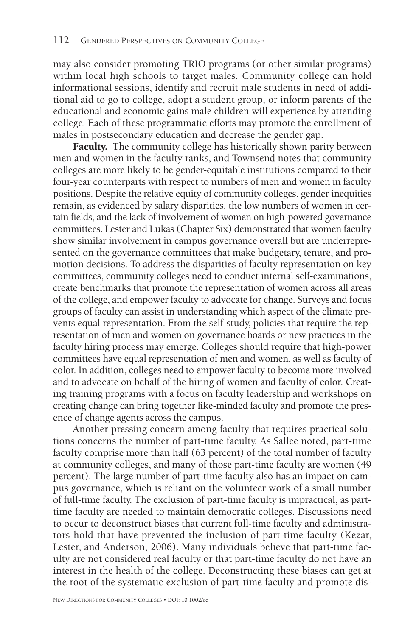may also consider promoting TRIO programs (or other similar programs) within local high schools to target males. Community college can hold informational sessions, identify and recruit male students in need of additional aid to go to college, adopt a student group, or inform parents of the educational and economic gains male children will experience by attending college. Each of these programmatic efforts may promote the enrollment of males in postsecondary education and decrease the gender gap.

Faculty. The community college has historically shown parity between men and women in the faculty ranks, and Townsend notes that community colleges are more likely to be gender-equitable institutions compared to their four-year counterparts with respect to numbers of men and women in faculty positions. Despite the relative equity of community colleges, gender inequities remain, as evidenced by salary disparities, the low numbers of women in certain fields, and the lack of involvement of women on high-powered governance committees. Lester and Lukas (Chapter Six) demonstrated that women faculty show similar involvement in campus governance overall but are underrepresented on the governance committees that make budgetary, tenure, and promotion decisions. To address the disparities of faculty representation on key committees, community colleges need to conduct internal self-examinations, create benchmarks that promote the representation of women across all areas of the college, and empower faculty to advocate for change. Surveys and focus groups of faculty can assist in understanding which aspect of the climate prevents equal representation. From the self-study, policies that require the representation of men and women on governance boards or new practices in the faculty hiring process may emerge. Colleges should require that high-power committees have equal representation of men and women, as well as faculty of color. In addition, colleges need to empower faculty to become more involved and to advocate on behalf of the hiring of women and faculty of color. Creating training programs with a focus on faculty leadership and workshops on creating change can bring together like-minded faculty and promote the presence of change agents across the campus.

Another pressing concern among faculty that requires practical solutions concerns the number of part-time faculty. As Sallee noted, part-time faculty comprise more than half (63 percent) of the total number of faculty at community colleges, and many of those part-time faculty are women (49 percent). The large number of part-time faculty also has an impact on campus governance, which is reliant on the volunteer work of a small number of full-time faculty. The exclusion of part-time faculty is impractical, as parttime faculty are needed to maintain democratic colleges. Discussions need to occur to deconstruct biases that current full-time faculty and administrators hold that have prevented the inclusion of part-time faculty (Kezar, Lester, and Anderson, 2006). Many individuals believe that part-time faculty are not considered real faculty or that part-time faculty do not have an interest in the health of the college. Deconstructing these biases can get at the root of the systematic exclusion of part-time faculty and promote dis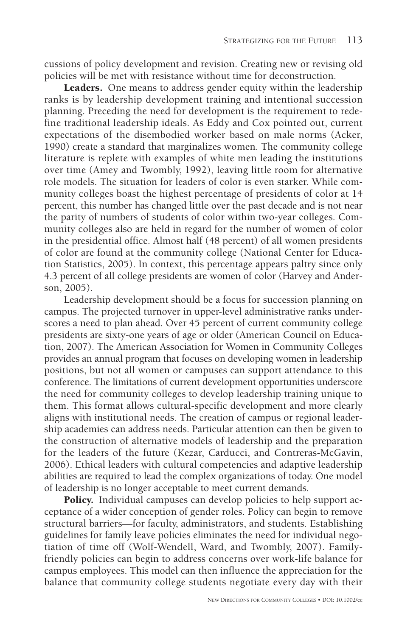cussions of policy development and revision. Creating new or revising old policies will be met with resistance without time for deconstruction.

Leaders. One means to address gender equity within the leadership ranks is by leadership development training and intentional succession planning. Preceding the need for development is the requirement to redefine traditional leadership ideals. As Eddy and Cox pointed out, current expectations of the disembodied worker based on male norms (Acker, 1990) create a standard that marginalizes women. The community college literature is replete with examples of white men leading the institutions over time (Amey and Twombly, 1992), leaving little room for alternative role models. The situation for leaders of color is even starker. While community colleges boast the highest percentage of presidents of color at 14 percent, this number has changed little over the past decade and is not near the parity of numbers of students of color within two-year colleges. Community colleges also are held in regard for the number of women of color in the presidential office. Almost half (48 percent) of all women presidents of color are found at the community college (National Center for Education Statistics, 2005). In context, this percentage appears paltry since only 4.3 percent of all college presidents are women of color (Harvey and Anderson, 2005).

Leadership development should be a focus for succession planning on campus. The projected turnover in upper-level administrative ranks underscores a need to plan ahead. Over 45 percent of current community college presidents are sixty-one years of age or older (American Council on Education, 2007). The American Association for Women in Community Colleges provides an annual program that focuses on developing women in leadership positions, but not all women or campuses can support attendance to this conference. The limitations of current development opportunities underscore the need for community colleges to develop leadership training unique to them. This format allows cultural-specific development and more clearly aligns with institutional needs. The creation of campus or regional leadership academies can address needs. Particular attention can then be given to the construction of alternative models of leadership and the preparation for the leaders of the future (Kezar, Carducci, and Contreras-McGavin, 2006). Ethical leaders with cultural competencies and adaptive leadership abilities are required to lead the complex organizations of today. One model of leadership is no longer acceptable to meet current demands.

Policy. Individual campuses can develop policies to help support acceptance of a wider conception of gender roles. Policy can begin to remove structural barriers—for faculty, administrators, and students. Establishing guidelines for family leave policies eliminates the need for individual negotiation of time off (Wolf-Wendell, Ward, and Twombly, 2007). Familyfriendly policies can begin to address concerns over work-life balance for campus employees. This model can then influence the appreciation for the balance that community college students negotiate every day with their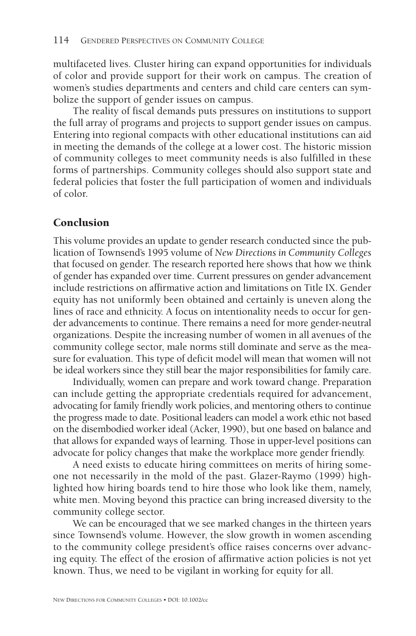multifaceted lives. Cluster hiring can expand opportunities for individuals of color and provide support for their work on campus. The creation of women's studies departments and centers and child care centers can symbolize the support of gender issues on campus.

The reality of fiscal demands puts pressures on institutions to support the full array of programs and projects to support gender issues on campus. Entering into regional compacts with other educational institutions can aid in meeting the demands of the college at a lower cost. The historic mission of community colleges to meet community needs is also fulfilled in these forms of partnerships. Community colleges should also support state and federal policies that foster the full participation of women and individuals of color.

### Conclusion

This volume provides an update to gender research conducted since the publication of Townsend's 1995 volume of *New Directions in Community Colleges* that focused on gender. The research reported here shows that how we think of gender has expanded over time. Current pressures on gender advancement include restrictions on affirmative action and limitations on Title IX. Gender equity has not uniformly been obtained and certainly is uneven along the lines of race and ethnicity. A focus on intentionality needs to occur for gender advancements to continue. There remains a need for more gender-neutral organizations. Despite the increasing number of women in all avenues of the community college sector, male norms still dominate and serve as the measure for evaluation. This type of deficit model will mean that women will not be ideal workers since they still bear the major responsibilities for family care.

Individually, women can prepare and work toward change. Preparation can include getting the appropriate credentials required for advancement, advocating for family friendly work policies, and mentoring others to continue the progress made to date. Positional leaders can model a work ethic not based on the disembodied worker ideal (Acker, 1990), but one based on balance and that allows for expanded ways of learning. Those in upper-level positions can advocate for policy changes that make the workplace more gender friendly.

A need exists to educate hiring committees on merits of hiring someone not necessarily in the mold of the past. Glazer-Raymo (1999) highlighted how hiring boards tend to hire those who look like them, namely, white men. Moving beyond this practice can bring increased diversity to the community college sector.

We can be encouraged that we see marked changes in the thirteen years since Townsend's volume. However, the slow growth in women ascending to the community college president's office raises concerns over advancing equity. The effect of the erosion of affirmative action policies is not yet known. Thus, we need to be vigilant in working for equity for all.